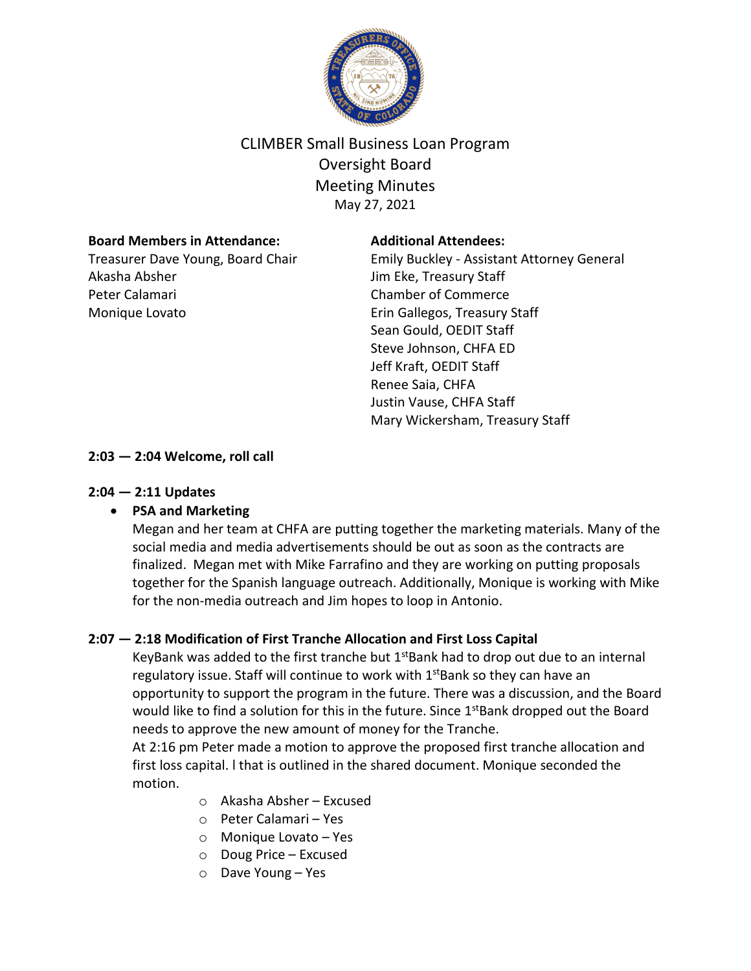

# CLIMBER Small Business Loan Program Oversight Board Meeting Minutes May 27, 2021

## **Board Members in Attendance:**

Treasurer Dave Young, Board Chair Akasha Absher Peter Calamari Monique Lovato

## **Additional Attendees:**

Emily Buckley - Assistant Attorney General Jim Eke, Treasury Staff Chamber of Commerce Erin Gallegos, Treasury Staff Sean Gould, OEDIT Staff Steve Johnson, CHFA ED Jeff Kraft, OEDIT Staff Renee Saia, CHFA Justin Vause, CHFA Staff Mary Wickersham, Treasury Staff

# **2:03 — 2:04 Welcome, roll call**

## **2:04 — 2:11 Updates**

# • **PSA and Marketing**

Megan and her team at CHFA are putting together the marketing materials. Many of the social media and media advertisements should be out as soon as the contracts are finalized. Megan met with Mike Farrafino and they are working on putting proposals together for the Spanish language outreach. Additionally, Monique is working with Mike for the non-media outreach and Jim hopes to loop in Antonio.

# **2:07 — 2:18 Modification of First Tranche Allocation and First Loss Capital**

KeyBank was added to the first tranche but  $1<sup>st</sup>Bank$  had to drop out due to an internal regulatory issue. Staff will continue to work with 1<sup>st</sup>Bank so they can have an opportunity to support the program in the future. There was a discussion, and the Board would like to find a solution for this in the future. Since  $1^{st}$ Bank dropped out the Board needs to approve the new amount of money for the Tranche.

At 2:16 pm Peter made a motion to approve the proposed first tranche allocation and first loss capital. l that is outlined in the shared document. Monique seconded the motion.

- $\circ$  Akasha Absher Excused
- o Peter Calamari Yes
- o Monique Lovato Yes
- o Doug Price Excused
- o Dave Young Yes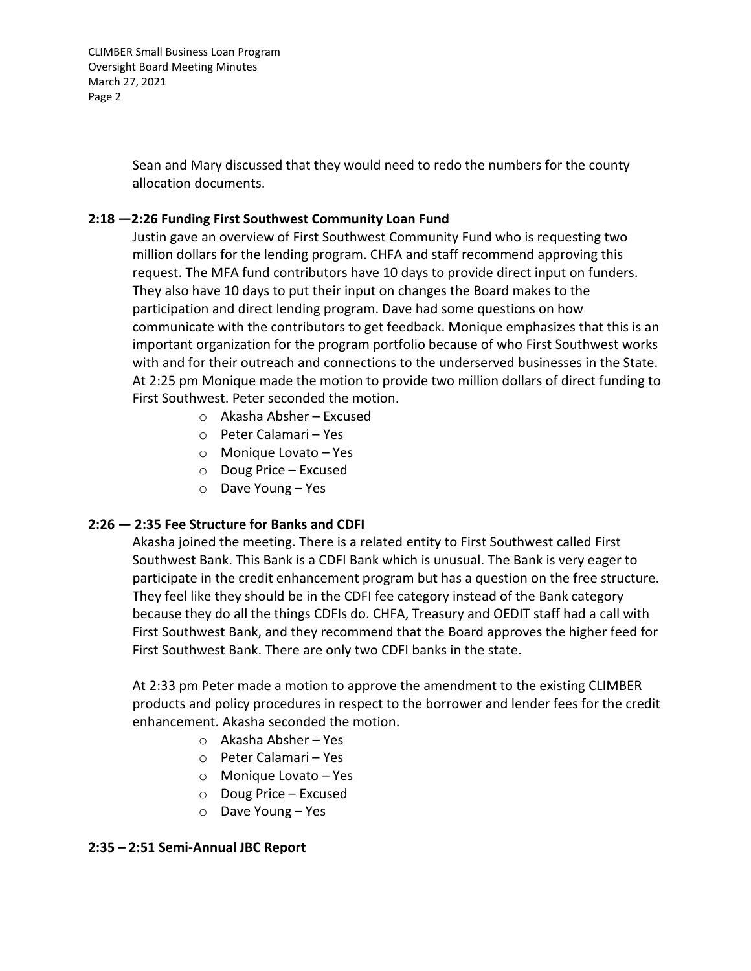CLIMBER Small Business Loan Program Oversight Board Meeting Minutes March 27, 2021 Page 2

> Sean and Mary discussed that they would need to redo the numbers for the county allocation documents.

## **2:18 —2:26 Funding First Southwest Community Loan Fund**

Justin gave an overview of First Southwest Community Fund who is requesting two million dollars for the lending program. CHFA and staff recommend approving this request. The MFA fund contributors have 10 days to provide direct input on funders. They also have 10 days to put their input on changes the Board makes to the participation and direct lending program. Dave had some questions on how communicate with the contributors to get feedback. Monique emphasizes that this is an important organization for the program portfolio because of who First Southwest works with and for their outreach and connections to the underserved businesses in the State. At 2:25 pm Monique made the motion to provide two million dollars of direct funding to First Southwest. Peter seconded the motion.

- o Akasha Absher Excused
- o Peter Calamari Yes
- o Monique Lovato Yes
- o Doug Price Excused
- o Dave Young Yes

### **2:26 — 2:35 Fee Structure for Banks and CDFI**

Akasha joined the meeting. There is a related entity to First Southwest called First Southwest Bank. This Bank is a CDFI Bank which is unusual. The Bank is very eager to participate in the credit enhancement program but has a question on the free structure. They feel like they should be in the CDFI fee category instead of the Bank category because they do all the things CDFIs do. CHFA, Treasury and OEDIT staff had a call with First Southwest Bank, and they recommend that the Board approves the higher feed for First Southwest Bank. There are only two CDFI banks in the state.

At 2:33 pm Peter made a motion to approve the amendment to the existing CLIMBER products and policy procedures in respect to the borrower and lender fees for the credit enhancement. Akasha seconded the motion.

- o Akasha Absher Yes
- o Peter Calamari Yes
- o Monique Lovato Yes
- o Doug Price Excused
- o Dave Young Yes

### **2:35 – 2:51 Semi-Annual JBC Report**